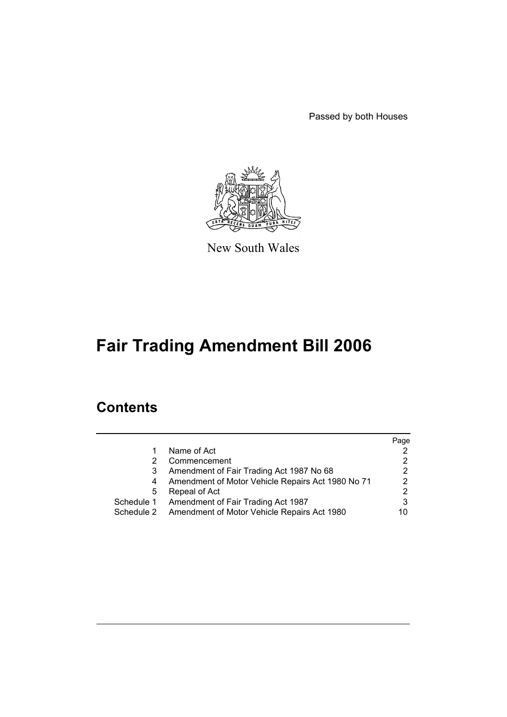Passed by both Houses



New South Wales

# **Fair Trading Amendment Bill 2006**

# **Contents**

|            |                                                   | Page          |
|------------|---------------------------------------------------|---------------|
|            | Name of Act                                       | 2             |
|            | Commencement                                      | 2             |
|            | Amendment of Fair Trading Act 1987 No 68          | 2             |
|            | Amendment of Motor Vehicle Repairs Act 1980 No 71 | 2             |
| 5          | Repeal of Act                                     | $\mathcal{P}$ |
| Schedule 1 | Amendment of Fair Trading Act 1987                | 3             |
| Schedule 2 | Amendment of Motor Vehicle Repairs Act 1980       | 10            |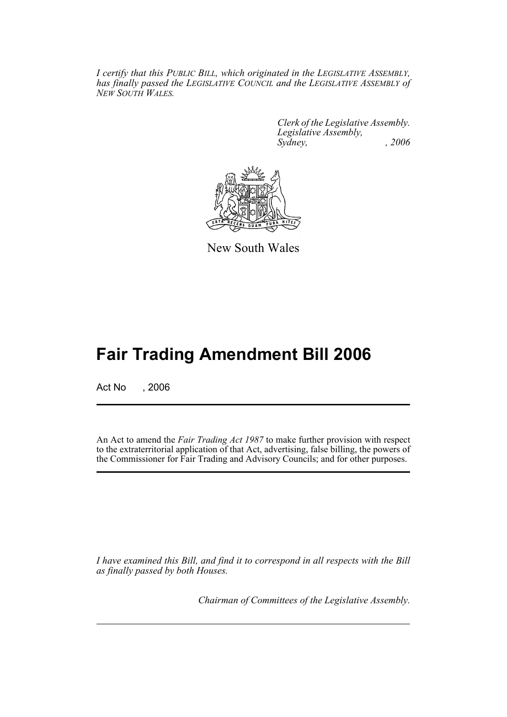*I certify that this PUBLIC BILL, which originated in the LEGISLATIVE ASSEMBLY, has finally passed the LEGISLATIVE COUNCIL and the LEGISLATIVE ASSEMBLY of NEW SOUTH WALES.*

> *Clerk of the Legislative Assembly. Legislative Assembly, Sydney, , 2006*



New South Wales

# **Fair Trading Amendment Bill 2006**

Act No , 2006

An Act to amend the *Fair Trading Act 1987* to make further provision with respect to the extraterritorial application of that Act, advertising, false billing, the powers of the Commissioner for Fair Trading and Advisory Councils; and for other purposes.

*I have examined this Bill, and find it to correspond in all respects with the Bill as finally passed by both Houses.*

*Chairman of Committees of the Legislative Assembly.*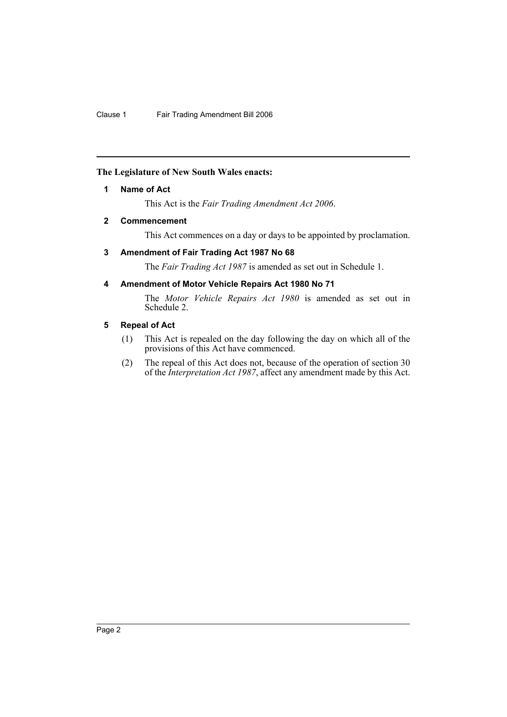# **The Legislature of New South Wales enacts:**

# **1 Name of Act**

This Act is the *Fair Trading Amendment Act 2006*.

# **2 Commencement**

This Act commences on a day or days to be appointed by proclamation.

# **3 Amendment of Fair Trading Act 1987 No 68**

The *Fair Trading Act 1987* is amended as set out in Schedule 1.

# **4 Amendment of Motor Vehicle Repairs Act 1980 No 71**

The *Motor Vehicle Repairs Act 1980* is amended as set out in Schedule 2.

#### **5 Repeal of Act**

- (1) This Act is repealed on the day following the day on which all of the provisions of this Act have commenced.
- (2) The repeal of this Act does not, because of the operation of section 30 of the *Interpretation Act 1987*, affect any amendment made by this Act.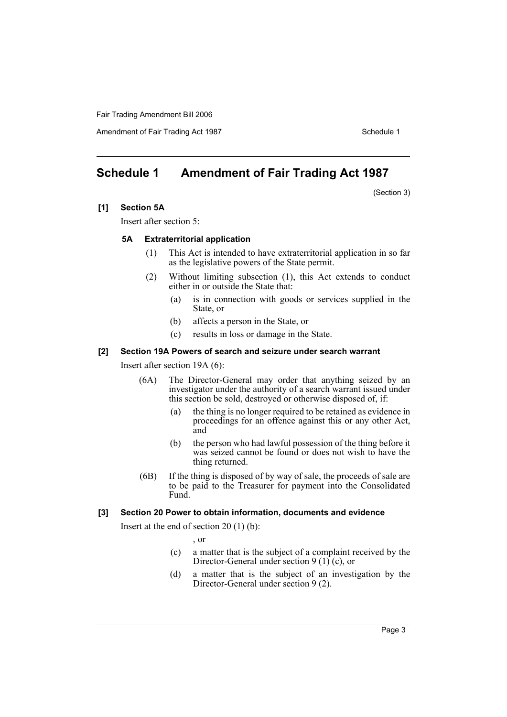Amendment of Fair Trading Act 1987 Schedule 1

# **Schedule 1 Amendment of Fair Trading Act 1987**

(Section 3)

**[1] Section 5A**

Insert after section 5:

#### **5A Extraterritorial application**

- (1) This Act is intended to have extraterritorial application in so far as the legislative powers of the State permit.
- (2) Without limiting subsection (1), this Act extends to conduct either in or outside the State that:
	- (a) is in connection with goods or services supplied in the State, or
	- (b) affects a person in the State, or
	- (c) results in loss or damage in the State.

#### **[2] Section 19A Powers of search and seizure under search warrant**

Insert after section 19A (6):

- (6A) The Director-General may order that anything seized by an investigator under the authority of a search warrant issued under this section be sold, destroyed or otherwise disposed of, if:
	- (a) the thing is no longer required to be retained as evidence in proceedings for an offence against this or any other Act, and
	- (b) the person who had lawful possession of the thing before it was seized cannot be found or does not wish to have the thing returned.
- (6B) If the thing is disposed of by way of sale, the proceeds of sale are to be paid to the Treasurer for payment into the Consolidated Fund.

#### **[3] Section 20 Power to obtain information, documents and evidence**

Insert at the end of section 20 (1) (b):

, or

- (c) a matter that is the subject of a complaint received by the Director-General under section 9 (1) (c), or
- (d) a matter that is the subject of an investigation by the Director-General under section 9 (2).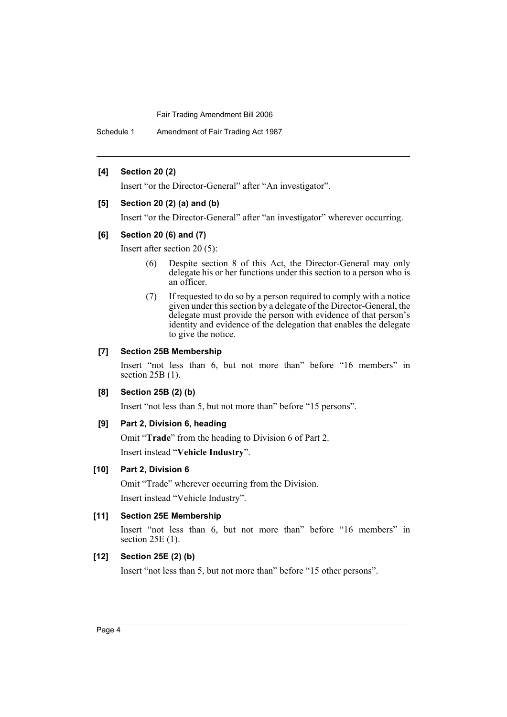Schedule 1 Amendment of Fair Trading Act 1987

#### **[4] Section 20 (2)**

Insert "or the Director-General" after "An investigator".

#### **[5] Section 20 (2) (a) and (b)**

Insert "or the Director-General" after "an investigator" wherever occurring.

#### **[6] Section 20 (6) and (7)**

Insert after section 20 (5):

- (6) Despite section 8 of this Act, the Director-General may only delegate his or her functions under this section to a person who is an officer.
- (7) If requested to do so by a person required to comply with a notice given under this section by a delegate of the Director-General, the delegate must provide the person with evidence of that person's identity and evidence of the delegation that enables the delegate to give the notice.

#### **[7] Section 25B Membership**

Insert "not less than 6, but not more than" before "16 members" in section 25B (1).

# **[8] Section 25B (2) (b)**

Insert "not less than 5, but not more than" before "15 persons".

# **[9] Part 2, Division 6, heading**

Omit "**Trade**" from the heading to Division 6 of Part 2. Insert instead "**Vehicle Industry**".

# **[10] Part 2, Division 6**

Omit "Trade" wherever occurring from the Division. Insert instead "Vehicle Industry".

# **[11] Section 25E Membership**

Insert "not less than 6, but not more than" before "16 members" in section 25E (1).

# **[12] Section 25E (2) (b)**

Insert "not less than 5, but not more than" before "15 other persons".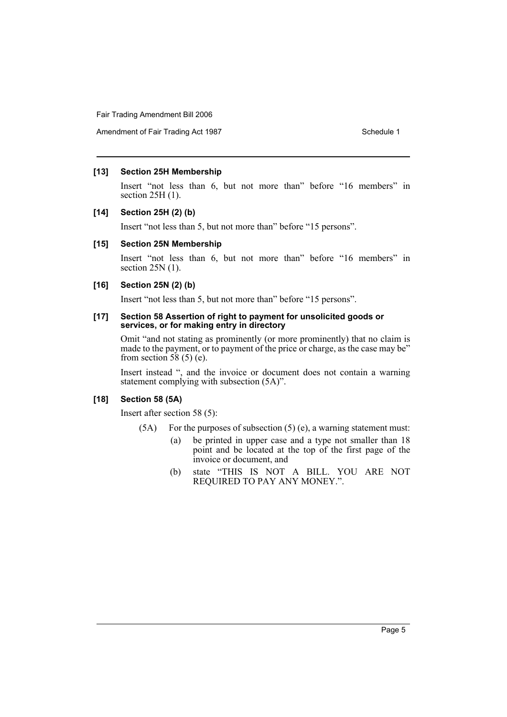Amendment of Fair Trading Act 1987 Schedule 1

#### **[13] Section 25H Membership**

Insert "not less than 6, but not more than" before "16 members" in section 25H (1).

#### **[14] Section 25H (2) (b)**

Insert "not less than 5, but not more than" before "15 persons".

# **[15] Section 25N Membership**

Insert "not less than 6, but not more than" before "16 members" in section 25N (1).

#### **[16] Section 25N (2) (b)**

Insert "not less than 5, but not more than" before "15 persons".

#### **[17] Section 58 Assertion of right to payment for unsolicited goods or services, or for making entry in directory**

Omit "and not stating as prominently (or more prominently) that no claim is made to the payment, or to payment of the price or charge, as the case may be" from section  $58(5)$  (e).

Insert instead ", and the invoice or document does not contain a warning statement complying with subsection (5A)".

#### **[18] Section 58 (5A)**

Insert after section 58 (5):

- $(5A)$  For the purposes of subsection  $(5)$  (e), a warning statement must:
	- (a) be printed in upper case and a type not smaller than 18 point and be located at the top of the first page of the invoice or document, and
	- (b) state "THIS IS NOT A BILL. YOU ARE NOT REQUIRED TO PAY ANY MONEY.".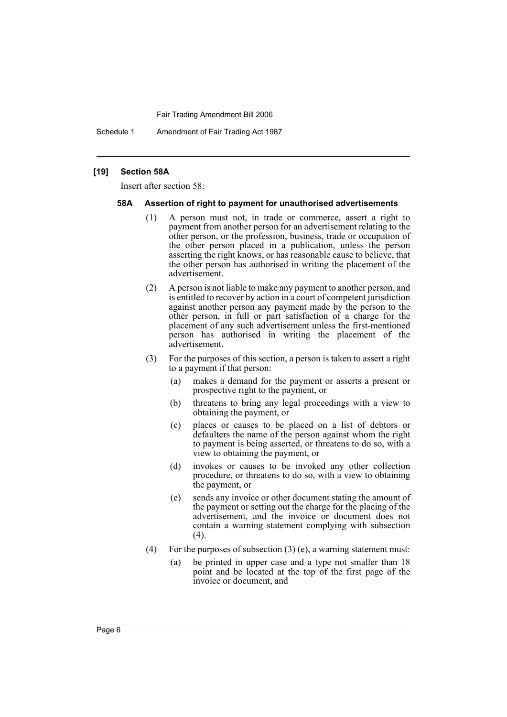Schedule 1 Amendment of Fair Trading Act 1987

#### **[19] Section 58A**

Insert after section 58:

#### **58A Assertion of right to payment for unauthorised advertisements**

- (1) A person must not, in trade or commerce, assert a right to payment from another person for an advertisement relating to the other person, or the profession, business, trade or occupation of the other person placed in a publication, unless the person asserting the right knows, or has reasonable cause to believe, that the other person has authorised in writing the placement of the advertisement.
- (2) A person is not liable to make any payment to another person, and is entitled to recover by action in a court of competent jurisdiction against another person any payment made by the person to the other person, in full or part satisfaction of a charge for the placement of any such advertisement unless the first-mentioned person has authorised in writing the placement of the advertisement.
- (3) For the purposes of this section, a person is taken to assert a right to a payment if that person:
	- (a) makes a demand for the payment or asserts a present or prospective right to the payment, or
	- (b) threatens to bring any legal proceedings with a view to obtaining the payment, or
	- (c) places or causes to be placed on a list of debtors or defaulters the name of the person against whom the right to payment is being asserted, or threatens to do so, with a view to obtaining the payment, or
	- (d) invokes or causes to be invoked any other collection procedure, or threatens to do so, with a view to obtaining the payment, or
	- (e) sends any invoice or other document stating the amount of the payment or setting out the charge for the placing of the advertisement, and the invoice or document does not contain a warning statement complying with subsection  $(4)$ .
- (4) For the purposes of subsection (3) (e), a warning statement must:
	- (a) be printed in upper case and a type not smaller than 18 point and be located at the top of the first page of the invoice or document, and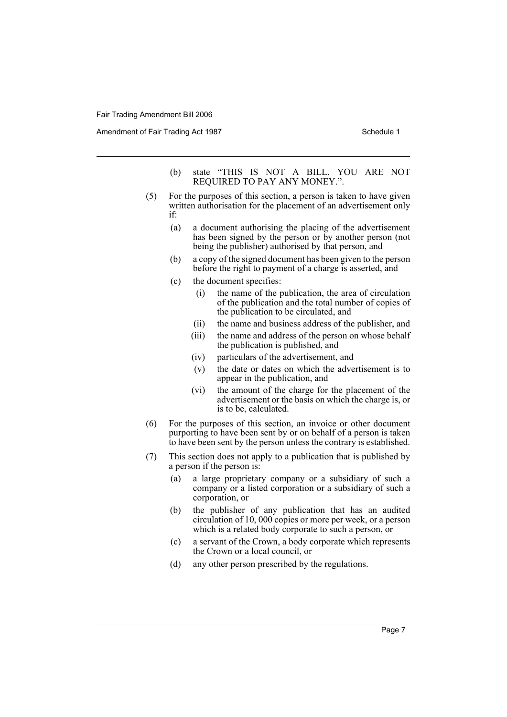Amendment of Fair Trading Act 1987 Schedule 1

- (b) state "THIS IS NOT A BILL. YOU ARE NOT REQUIRED TO PAY ANY MONEY.".
- (5) For the purposes of this section, a person is taken to have given written authorisation for the placement of an advertisement only if:
	- (a) a document authorising the placing of the advertisement has been signed by the person or by another person (not being the publisher) authorised by that person, and
	- (b) a copy of the signed document has been given to the person before the right to payment of a charge is asserted, and
	- (c) the document specifies:
		- (i) the name of the publication, the area of circulation of the publication and the total number of copies of the publication to be circulated, and
		- (ii) the name and business address of the publisher, and
		- (iii) the name and address of the person on whose behalf the publication is published, and
		- (iv) particulars of the advertisement, and
		- (v) the date or dates on which the advertisement is to appear in the publication, and
		- (vi) the amount of the charge for the placement of the advertisement or the basis on which the charge is, or is to be, calculated.
- (6) For the purposes of this section, an invoice or other document purporting to have been sent by or on behalf of a person is taken to have been sent by the person unless the contrary is established.
- (7) This section does not apply to a publication that is published by a person if the person is:
	- (a) a large proprietary company or a subsidiary of such a company or a listed corporation or a subsidiary of such a corporation, or
	- (b) the publisher of any publication that has an audited circulation of 10, 000 copies or more per week, or a person which is a related body corporate to such a person, or
	- (c) a servant of the Crown, a body corporate which represents the Crown or a local council, or
	- (d) any other person prescribed by the regulations.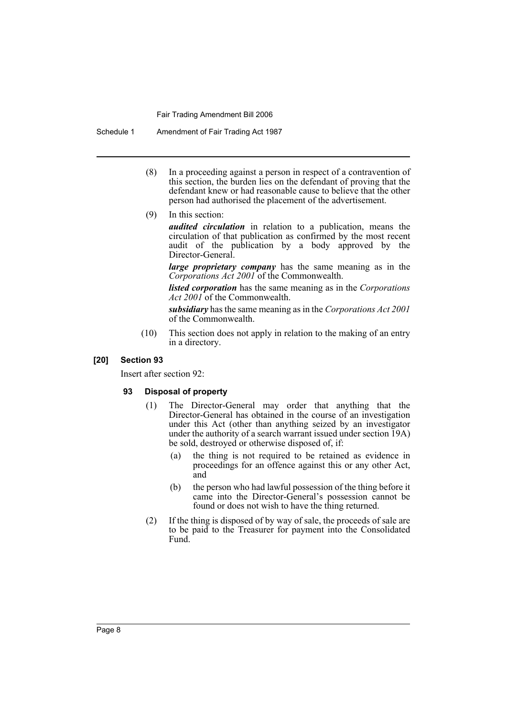Schedule 1 Amendment of Fair Trading Act 1987

- (8) In a proceeding against a person in respect of a contravention of this section, the burden lies on the defendant of proving that the defendant knew or had reasonable cause to believe that the other person had authorised the placement of the advertisement.
- (9) In this section:

*audited circulation* in relation to a publication, means the circulation of that publication as confirmed by the most recent audit of the publication by a body approved by the Director-General.

*large proprietary company* has the same meaning as in the *Corporations Act 2001* of the Commonwealth.

*listed corporation* has the same meaning as in the *Corporations Act 2001* of the Commonwealth.

*subsidiary* has the same meaning as in the *Corporations Act 2001* of the Commonwealth.

(10) This section does not apply in relation to the making of an entry in a directory.

# **[20] Section 93**

Insert after section 92:

#### **93 Disposal of property**

- (1) The Director-General may order that anything that the Director-General has obtained in the course of an investigation under this Act (other than anything seized by an investigator under the authority of a search warrant issued under section 19A) be sold, destroyed or otherwise disposed of, if:
	- (a) the thing is not required to be retained as evidence in proceedings for an offence against this or any other Act, and
	- (b) the person who had lawful possession of the thing before it came into the Director-General's possession cannot be found or does not wish to have the thing returned.
- (2) If the thing is disposed of by way of sale, the proceeds of sale are to be paid to the Treasurer for payment into the Consolidated Fund.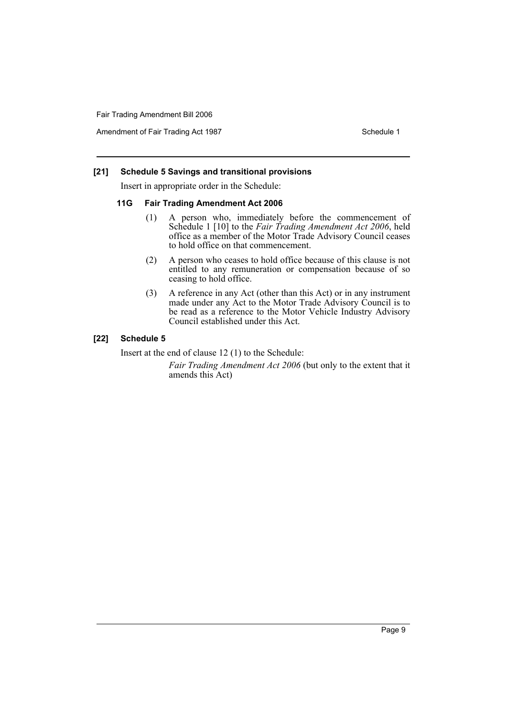Amendment of Fair Trading Act 1987 Schedule 1

# **[21] Schedule 5 Savings and transitional provisions**

Insert in appropriate order in the Schedule:

#### **11G Fair Trading Amendment Act 2006**

- (1) A person who, immediately before the commencement of Schedule 1 [10] to the *Fair Trading Amendment Act 2006*, held office as a member of the Motor Trade Advisory Council ceases to hold office on that commencement.
- (2) A person who ceases to hold office because of this clause is not entitled to any remuneration or compensation because of so ceasing to hold office.
- (3) A reference in any Act (other than this Act) or in any instrument made under any Act to the Motor Trade Advisory Council is to be read as a reference to the Motor Vehicle Industry Advisory Council established under this Act.

# **[22] Schedule 5**

Insert at the end of clause 12 (1) to the Schedule:

*Fair Trading Amendment Act 2006* (but only to the extent that it amends this Act)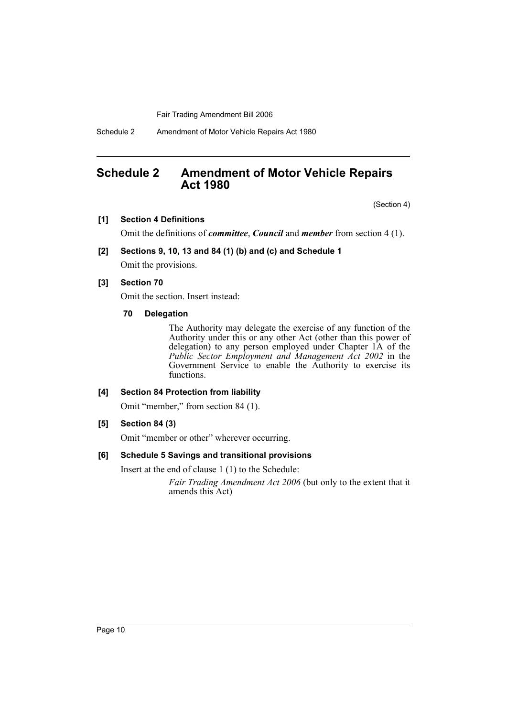Schedule 2 Amendment of Motor Vehicle Repairs Act 1980

# **Schedule 2 Amendment of Motor Vehicle Repairs Act 1980**

(Section 4)

#### **[1] Section 4 Definitions**

Omit the definitions of *committee*, *Council* and *member* from section 4 (1).

#### **[2] Sections 9, 10, 13 and 84 (1) (b) and (c) and Schedule 1**

Omit the provisions.

#### **[3] Section 70**

Omit the section. Insert instead:

**70 Delegation**

The Authority may delegate the exercise of any function of the Authority under this or any other Act (other than this power of delegation) to any person employed under Chapter 1A of the *Public Sector Employment and Management Act 2002* in the Government Service to enable the Authority to exercise its functions.

#### **[4] Section 84 Protection from liability**

Omit "member," from section 84 (1).

# **[5] Section 84 (3)**

Omit "member or other" wherever occurring.

#### **[6] Schedule 5 Savings and transitional provisions**

Insert at the end of clause 1 (1) to the Schedule:

*Fair Trading Amendment Act 2006* (but only to the extent that it amends this Act)